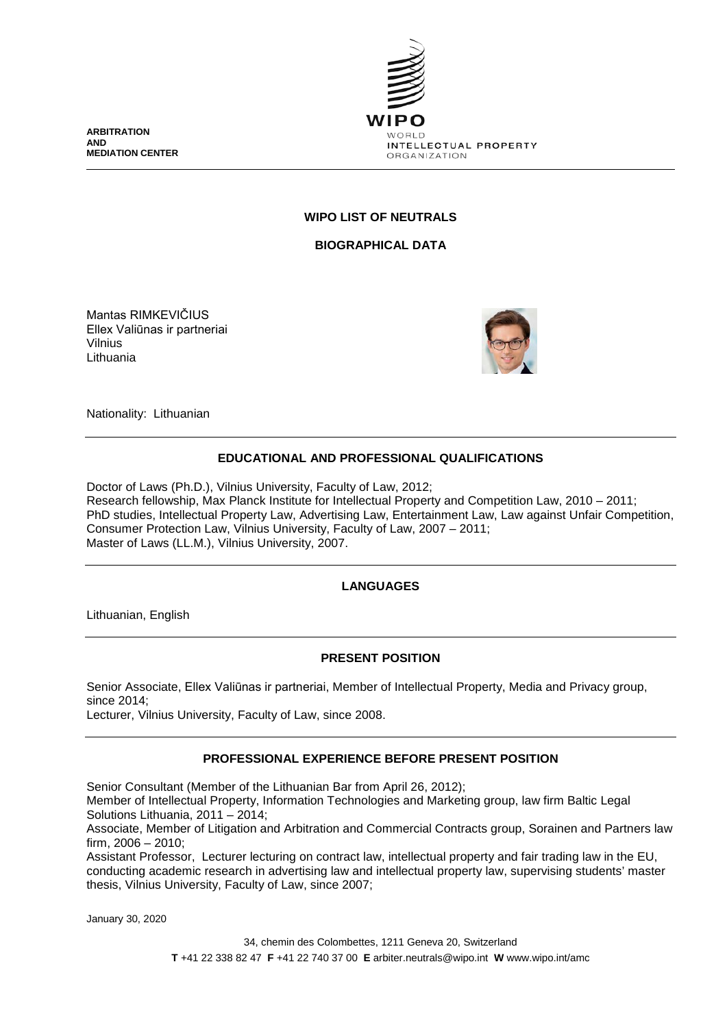**ARBITRATION AND MEDIATION CENTER**



## **WIPO LIST OF NEUTRALS**

**BIOGRAPHICAL DATA**

Mantas RIMKEVIČIUS Ellex Valiūnas ir partneriai Vilnius Lithuania



Nationality: Lithuanian

## **EDUCATIONAL AND PROFESSIONAL QUALIFICATIONS**

Doctor of Laws (Ph.D.), Vilnius University, Faculty of Law, 2012; Research fellowship, Max Planck Institute for Intellectual Property and Competition Law, 2010 – 2011; PhD studies, Intellectual Property Law, Advertising Law, Entertainment Law, Law against Unfair Competition, Consumer Protection Law, Vilnius University, Faculty of Law, 2007 – 2011; Master of Laws (LL.M.), Vilnius University, 2007.

# **LANGUAGES**

Lithuanian, English

## **PRESENT POSITION**

Senior Associate, Ellex Valiūnas ir partneriai, Member of Intellectual Property, Media and Privacy group, since 2014; Lecturer, Vilnius University, Faculty of Law, since 2008.

**PROFESSIONAL EXPERIENCE BEFORE PRESENT POSITION**

Senior Consultant (Member of the Lithuanian Bar from April 26, 2012);

Member of Intellectual Property, Information Technologies and Marketing group, law firm Baltic Legal Solutions Lithuania, 2011 – 2014;

Associate, Member of Litigation and Arbitration and Commercial Contracts group, Sorainen and Partners law firm, 2006 – 2010;

Assistant Professor, Lecturer lecturing on contract law, intellectual property and fair trading law in the EU, conducting academic research in advertising law and intellectual property law, supervising students' master thesis, Vilnius University, Faculty of Law, since 2007;

January 30, 2020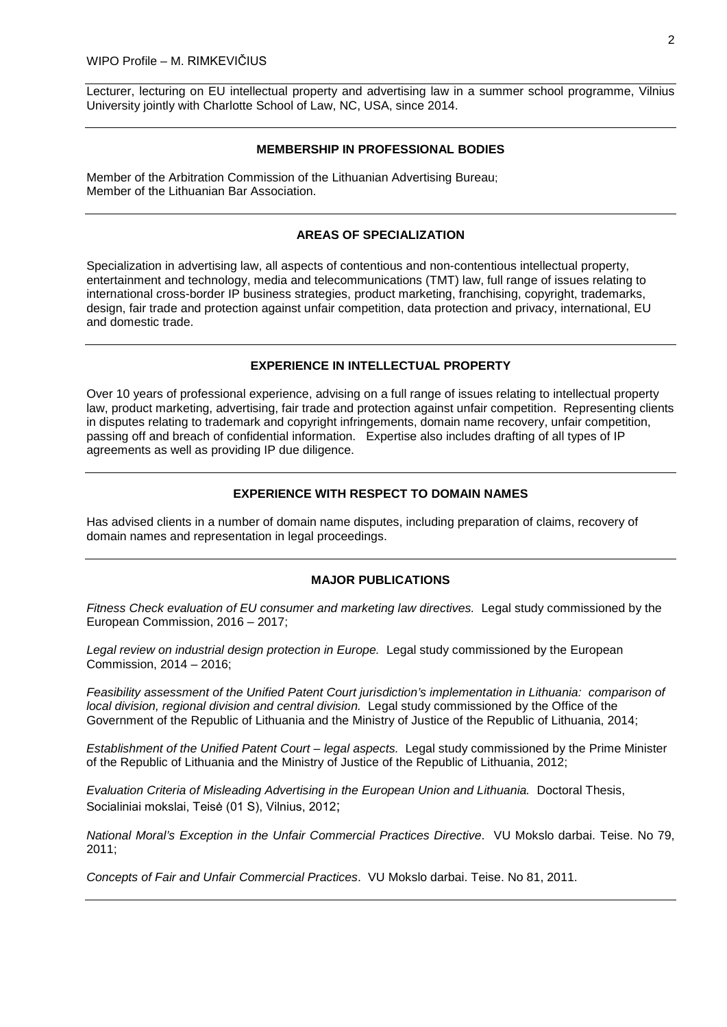Lecturer, lecturing on EU intellectual property and advertising law in a summer school programme, Vilnius University jointly with Charlotte School of Law, NC, USA, since 2014.

### **MEMBERSHIP IN PROFESSIONAL BODIES**

Member of the Arbitration Commission of the Lithuanian Advertising Bureau; Member of the Lithuanian Bar Association.

### **AREAS OF SPECIALIZATION**

Specialization in advertising law, all aspects of contentious and non-contentious intellectual property, entertainment and technology, media and telecommunications (TMT) law, full range of issues relating to international cross-border IP business strategies, product marketing, franchising, copyright, trademarks, design, fair trade and protection against unfair competition, data protection and privacy, international, EU and domestic trade.

### **EXPERIENCE IN INTELLECTUAL PROPERTY**

Over 10 years of professional experience, advising on a full range of issues relating to intellectual property law, product marketing, advertising, fair trade and protection against unfair competition. Representing clients in disputes relating to trademark and copyright infringements, domain name recovery, unfair competition, passing off and breach of confidential information. Expertise also includes drafting of all types of IP agreements as well as providing IP due diligence.

## **EXPERIENCE WITH RESPECT TO DOMAIN NAMES**

Has advised clients in a number of domain name disputes, including preparation of claims, recovery of domain names and representation in legal proceedings.

#### **MAJOR PUBLICATIONS**

*Fitness Check evaluation of EU consumer and marketing law directives.* Legal study commissioned by the European Commission, 2016 – 2017;

*Legal review on industrial design protection in Europe.* Legal study commissioned by the European Commission, 2014 – 2016;

*Feasibility assessment of the Unified Patent Court jurisdiction's implementation in Lithuania: comparison of local division, regional division and central division.* Legal study commissioned by the Office of the Government of the Republic of Lithuania and the Ministry of Justice of the Republic of Lithuania, 2014;

*Establishment of the Unified Patent Court – legal aspects.* Legal study commissioned by the Prime Minister of the Republic of Lithuania and the Ministry of Justice of the Republic of Lithuania, 2012;

*Evaluation Criteria of Misleading Advertising in the European Union and Lithuania.* Doctoral Thesis, Socialiniai mokslai, Teisė (01 S), Vilnius, 2012;

*National Moral's Exception in the Unfair Commercial Practices Directive*. VU Mokslo darbai. Teise. No 79, 2011;

*Concepts of Fair and Unfair Commercial Practices*. VU Mokslo darbai. Teise. No 81, 2011.